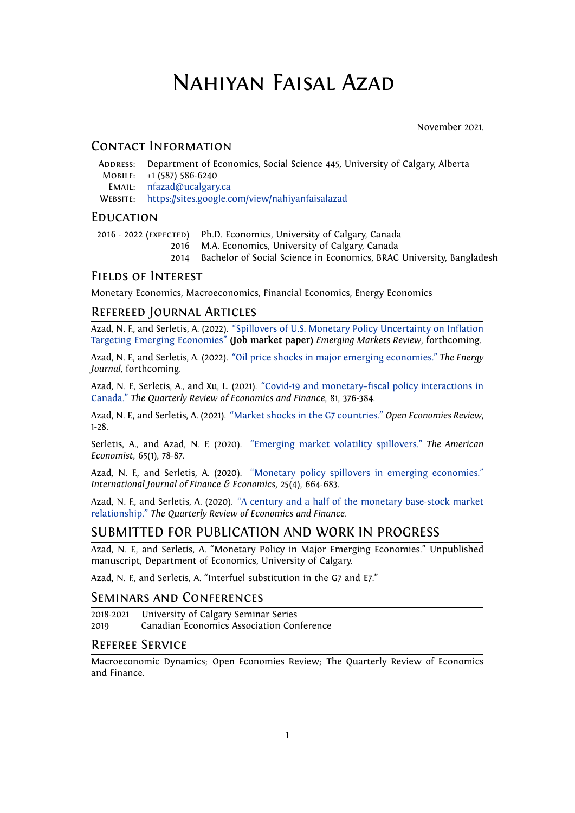# Nahiyan Faisal Azad

November 2021.

## Contact Information

| ADDRESS: Department of Economics, Social Science 445, University of Calgary, Alberta |
|--------------------------------------------------------------------------------------|
| MOBILE: +1 (587) 586-6240                                                            |
| <b>EMAIL:</b> nfazad@ucalgary.ca                                                     |
| WEBSITE: https://sites.google.com/view/nahiyanfaisalazad                             |

#### **EDUCATION**

| 2016 - 2022 (EXPECTED) Ph.D. Economics, University of Calgary, Canada     |
|---------------------------------------------------------------------------|
| 2016 M.A. Economics, University of Calgary, Canada                        |
| 2014 Bachelor of Social Science in Economics, BRAC University, Bangladesh |

### Fields of Interest

Monetary Economics, Macroeconomics, Financial Economics, Energy Economics

## Refereed Journal Articles

Azad, N. F., and Serletis, A. (2022). ["Spillovers of U.S. Monetary Policy Uncertainty on Inflation](https://drive.google.com/file/d/1ExGst0DTO3jrswxnj1R7XLfh5y80MyVV/view?usp=sharing) [Targeting Emerging Economies"](https://drive.google.com/file/d/1ExGst0DTO3jrswxnj1R7XLfh5y80MyVV/view?usp=sharing) **(Job market paper)** *Emerging Markets Review*, forthcoming.

Azad, N. F., and Serletis, A. (2022). ["Oil price shocks in major emerging economies."](https://www.iaee.org/en/publications/ejarticle.aspx?id=3859) *The Energy Journal*, forthcoming.

Azad, N. F., Serletis, A., and Xu, L. (2021). ["Covid-19 and monetary–fiscal policy interactions in](https://www.sciencedirect.com/science/article/abs/pii/S1062976921001095) [Canada."](https://www.sciencedirect.com/science/article/abs/pii/S1062976921001095) *The Quarterly Review of Economics and Finance*, 81, 376-384.

Azad, N. F., and Serletis, A. (2021). ["Market shocks in the G7 countries."](https://link.springer.com/article/10.1007/s11079-020-09610-6) *Open Economies Review*, 1-28.

Serletis, A., and Azad, N. F. (2020). ["Emerging market volatility spillovers."](https://journals.sagepub.com/doi/full/10.1177/0569434518816445) *The American Economist*, 65(1), 78-87.

Azad, N. F., and Serletis, A. (2020). ["Monetary policy spillovers in emerging economies."](https://onlinelibrary.wiley.com/doi/abs/10.1002/ijfe.1773) *International Journal of Finance & Economics*, 25(4), 664-683.

Azad, N. F., and Serletis, A. (2020). ["A century and a half of the monetary base-stock market](https://www.sciencedirect.com/science/article/abs/pii/S1062976920301587) [relationship."](https://www.sciencedirect.com/science/article/abs/pii/S1062976920301587) *The Quarterly Review of Economics and Finance*.

## SUBMITTED FOR PUBLICATION AND WORK IN PROGRESS

Azad, N. F., and Serletis, A. "Monetary Policy in Major Emerging Economies." Unpublished manuscript, Department of Economics, University of Calgary.

Azad, N. F., and Serletis, A. "Interfuel substitution in the G7 and E7."

#### Seminars and Conferences

2018-2021 University of Calgary Seminar Series 2019 Canadian Economics Association Conference

#### Referee Service

Macroeconomic Dynamics; Open Economies Review; The Quarterly Review of Economics and Finance.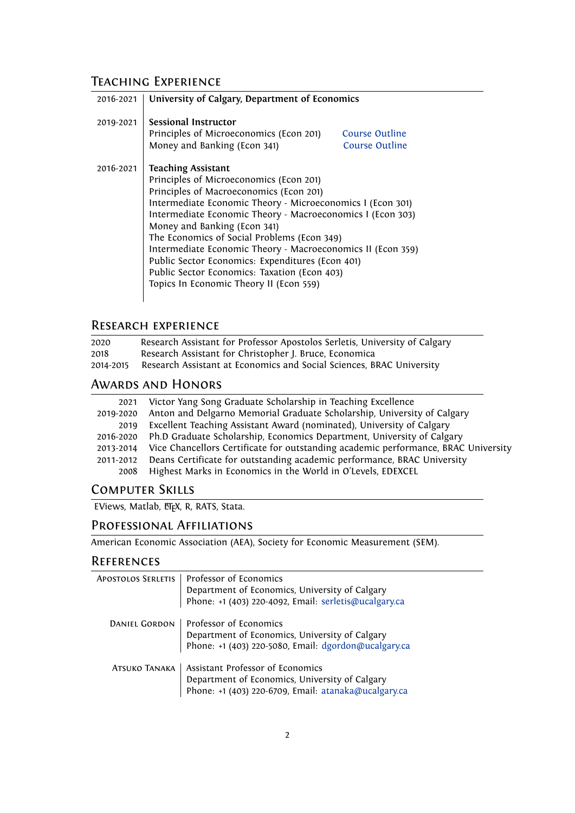# Teaching Experience

| 2016-2021 | University of Calgary, Department of Economics                                                                                                                                                                                                                                                                                                                                                                                                                                                                                           |  |
|-----------|------------------------------------------------------------------------------------------------------------------------------------------------------------------------------------------------------------------------------------------------------------------------------------------------------------------------------------------------------------------------------------------------------------------------------------------------------------------------------------------------------------------------------------------|--|
| 2019-2021 | Sessional Instructor<br>Principles of Microeconomics (Econ 201)<br>Course Outline<br>Money and Banking (Econ 341)<br>Course Outline                                                                                                                                                                                                                                                                                                                                                                                                      |  |
| 2016-2021 | <b>Teaching Assistant</b><br>Principles of Microeconomics (Econ 201)<br>Principles of Macroeconomics (Econ 201)<br>Intermediate Economic Theory - Microeconomics I (Econ 301)<br>Intermediate Economic Theory - Macroeconomics I (Econ 303)<br>Money and Banking (Econ 341)<br>The Economics of Social Problems (Econ 349)<br>Intermediate Economic Theory - Macroeconomics II (Econ 359)<br>Public Sector Economics: Expenditures (Econ 401)<br>Public Sector Economics: Taxation (Econ 403)<br>Topics In Economic Theory II (Econ 559) |  |

# Research experience

| 2020      | Research Assistant for Professor Apostolos Serletis, University of Calgary |
|-----------|----------------------------------------------------------------------------|
| 2018      | Research Assistant for Christopher J. Bruce, Economica                     |
| 2014-2015 | Research Assistant at Economics and Social Sciences, BRAC University       |

# Awards and Honors

| 2021      | Victor Yang Song Graduate Scholarship in Teaching Excellence                       |
|-----------|------------------------------------------------------------------------------------|
| 2019-2020 | Anton and Delgarno Memorial Graduate Scholarship, University of Calgary            |
| 2019      | Excellent Teaching Assistant Award (nominated), University of Calgary              |
| 2016-2020 | Ph.D Graduate Scholarship, Economics Department, University of Calgary             |
| 2013-2014 | Vice Chancellors Certificate for outstanding academic performance, BRAC University |
| 2011-2012 | Deans Certificate for outstanding academic performance, BRAC University            |
| 2008      | Highest Marks in Economics in the World in O'Levels, EDEXCEL                       |

## Computer Skills

EViews, Matlab, ETFX, R, RATS, Stata.

# Professional Affiliations

American Economic Association (AEA), Society for Economic Measurement (SEM).

## **REFERENCES**

| Professor of Economics<br>Department of Economics, University of Calgary<br>Phone: +1 (403) 220-4092, Email: serletis@ucalgary.ca          |
|--------------------------------------------------------------------------------------------------------------------------------------------|
| Professor of Economics<br>Department of Economics, University of Calgary<br>Phone: +1 (403) 220-5080, Email: dgordon@ucalgary.ca           |
| Assistant Professor of Economics<br>Department of Economics, University of Calgary<br>Phone: +1 (403) 220-6709, Email: atanaka@ucalgary.ca |
|                                                                                                                                            |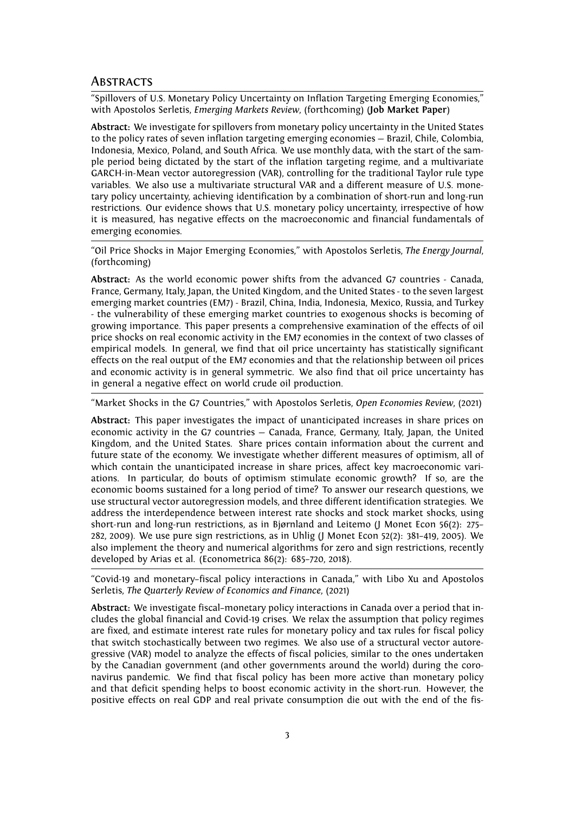#### **ABSTRACTS**

"Spillovers of U.S. Monetary Policy Uncertainty on Inflation Targeting Emerging Economies," with Apostolos Serletis, *Emerging Markets Review*, (forthcoming) (**Job Market Paper**)

**Abstract:** We investigate for spillovers from monetary policy uncertainty in the United States to the policy rates of seven inflation targeting emerging economies — Brazil, Chile, Colombia, Indonesia, Mexico, Poland, and South Africa. We use monthly data, with the start of the sample period being dictated by the start of the inflation targeting regime, and a multivariate GARCH-in-Mean vector autoregression (VAR), controlling for the traditional Taylor rule type variables. We also use a multivariate structural VAR and a different measure of U.S. monetary policy uncertainty, achieving identification by a combination of short-run and long-run restrictions. Our evidence shows that U.S. monetary policy uncertainty, irrespective of how it is measured, has negative effects on the macroeconomic and financial fundamentals of emerging economies.

"Oil Price Shocks in Major Emerging Economies," with Apostolos Serletis, *The Energy Journal*, (forthcoming)

**Abstract:** As the world economic power shifts from the advanced G7 countries - Canada, France, Germany, Italy, Japan, the United Kingdom, and the United States - to the seven largest emerging market countries (EM7) - Brazil, China, India, Indonesia, Mexico, Russia, and Turkey - the vulnerability of these emerging market countries to exogenous shocks is becoming of growing importance. This paper presents a comprehensive examination of the effects of oil price shocks on real economic activity in the EM7 economies in the context of two classes of empirical models. In general, we find that oil price uncertainty has statistically significant effects on the real output of the EM7 economies and that the relationship between oil prices and economic activity is in general symmetric. We also find that oil price uncertainty has in general a negative effect on world crude oil production.

"Market Shocks in the G7 Countries," with Apostolos Serletis, *Open Economies Review*, (2021)

**Abstract:** This paper investigates the impact of unanticipated increases in share prices on economic activity in the G7 countries — Canada, France, Germany, Italy, Japan, the United Kingdom, and the United States. Share prices contain information about the current and future state of the economy. We investigate whether different measures of optimism, all of which contain the unanticipated increase in share prices, affect key macroeconomic variations. In particular, do bouts of optimism stimulate economic growth? If so, are the economic booms sustained for a long period of time? To answer our research questions, we use structural vector autoregression models, and three different identification strategies. We address the interdependence between interest rate shocks and stock market shocks, using short-run and long-run restrictions, as in Bjørnland and Leitemo (J Monet Econ 56(2): 275– 282, 2009). We use pure sign restrictions, as in Uhlig (J Monet Econ 52(2): 381–419, 2005). We also implement the theory and numerical algorithms for zero and sign restrictions, recently developed by Arias et al. (Econometrica 86(2): 685–720, 2018).

"Covid-19 and monetary–fiscal policy interactions in Canada," with Libo Xu and Apostolos Serletis, *The Quarterly Review of Economics and Finance*, (2021)

**Abstract:** We investigate fiscal–monetary policy interactions in Canada over a period that includes the global financial and Covid-19 crises. We relax the assumption that policy regimes are fixed, and estimate interest rate rules for monetary policy and tax rules for fiscal policy that switch stochastically between two regimes. We also use of a structural vector autoregressive (VAR) model to analyze the effects of fiscal policies, similar to the ones undertaken by the Canadian government (and other governments around the world) during the coronavirus pandemic. We find that fiscal policy has been more active than monetary policy and that deficit spending helps to boost economic activity in the short-run. However, the positive effects on real GDP and real private consumption die out with the end of the fis